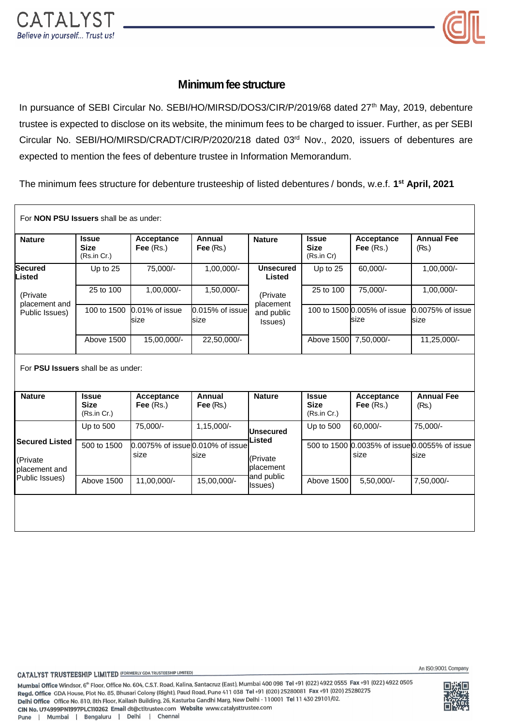

## **Minimum fee structure**

In pursuance of SEBI Circular No. SEBI/HO/MIRSD/DOS3/CIR/P/2019/68 dated 27<sup>th</sup> May, 2019, debenture trustee is expected to disclose on its website, the minimum fees to be charged to issuer. Further, as per SEBI Circular No. SEBI/HO/MIRSD/CRADT/CIR/P/2020/218 dated 03rd Nov., 2020, issuers of debentures are expected to mention the fees of debenture trustee in Information Memorandum.

The minimum fees structure for debenture trusteeship of listed debentures / bonds, w.e.f. **1 st April, 2021**

| For <b>NON PSU Issuers</b> shall be as under:                        |                                            |                                          |                         |                                                |                                            |                                     |                                                       |
|----------------------------------------------------------------------|--------------------------------------------|------------------------------------------|-------------------------|------------------------------------------------|--------------------------------------------|-------------------------------------|-------------------------------------------------------|
| <b>Nature</b>                                                        | <b>Issue</b><br><b>Size</b><br>(Rs.in Cr.) | Acceptance<br>Fee $(Rs.)$                | Annual<br>Fee $(Rs.)$   | <b>Nature</b>                                  | <b>Issue</b><br><b>Size</b><br>(Rs.in Cr)  | Acceptance<br>Fee $(Rs.)$           | <b>Annual Fee</b><br>(Rs.)                            |
| <b>Secured</b><br>Listed                                             | Up to 25                                   | 75,000/-                                 | 1,00,000/-              | <b>Unsecured</b><br>Listed                     | Up to 25                                   | 60,000/-                            | 1,00,000/-                                            |
| (Private<br>placement and<br>Public Issues)                          | 25 to 100                                  | $1,00,000/-$                             | $1,50,000/-$            | (Private<br>placement<br>and public<br>Issues) | 25 to 100                                  | 75,000/-                            | 1,00,000/-                                            |
|                                                                      | 100 to 1500                                | 0.01% of issue<br>size                   | 0.015% of issue<br>size |                                                |                                            | 100 to 1500 0.005% of issue<br>size | 0.0075% of issue<br>size                              |
|                                                                      | Above 1500                                 | 15,00,000/-                              | 22,50,000/-             |                                                | Above 1500 7,50,000/-                      |                                     | 11,25,000/-                                           |
| For PSU Issuers shall be as under:<br><b>Nature</b>                  | <b>Issue</b><br><b>Size</b><br>(Rs.in Cr.) | <b>Acceptance</b><br>Fee $(Rs.)$         | Annual<br>Fee $(Rs)$    | <b>Nature</b>                                  | <b>Issue</b><br><b>Size</b><br>(Rs.in Cr.) | Acceptance<br>Fee $(Rs.)$           | <b>Annual Fee</b><br>(Rs.)                            |
| <b>Secured Listed</b><br>(Private<br>placement and<br>Public Issues) | Up to 500                                  | 75,000/-                                 | $1,15,000/-$            | <b>Unsecured</b>                               | Up to 500                                  | 60,000/-                            | 75,000/-                                              |
|                                                                      | 500 to 1500                                | 0.0075% of issue 0.010% of issue<br>size | size                    | Listed<br>(Private<br>placement                |                                            | size                                | 500 to 1500 0.0035% of issue 0.0055% of issue<br>size |
|                                                                      | Above 1500                                 | 11,00,000/-                              | 15,00,000/-             | and public<br>Issues)                          | Above 1500                                 | 5,50,000/-                          | 7,50,000/-                                            |
|                                                                      |                                            |                                          |                         |                                                |                                            |                                     |                                                       |